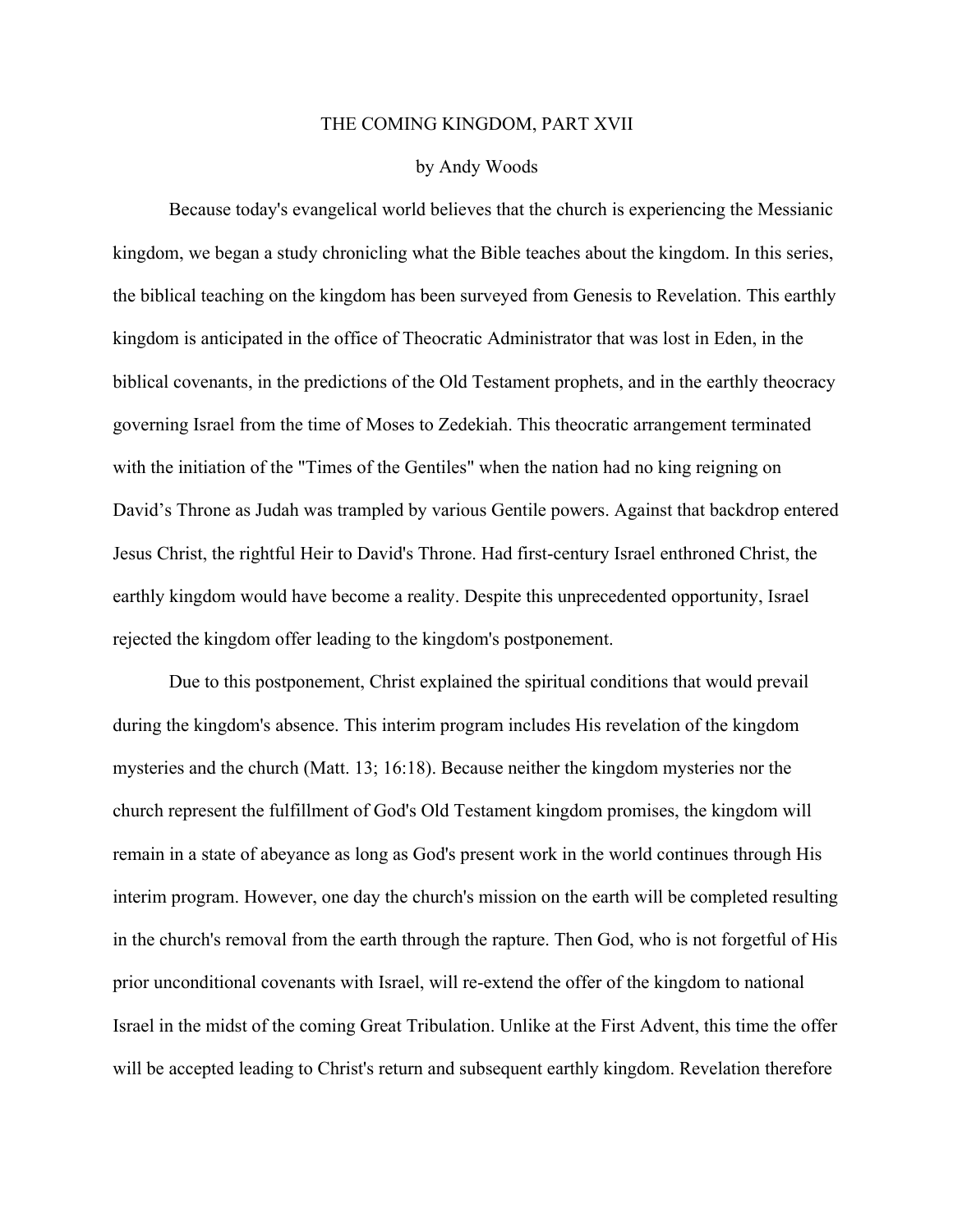## THE COMING KINGDOM, PART XVII

## by Andy Woods

Because today's evangelical world believes that the church is experiencing the Messianic kingdom, we began a study chronicling what the Bible teaches about the kingdom. In this series, the biblical teaching on the kingdom has been surveyed from Genesis to Revelation. This earthly kingdom is anticipated in the office of Theocratic Administrator that was lost in Eden, in the biblical covenants, in the predictions of the Old Testament prophets, and in the earthly theocracy governing Israel from the time of Moses to Zedekiah. This theocratic arrangement terminated with the initiation of the "Times of the Gentiles" when the nation had no king reigning on David's Throne as Judah was trampled by various Gentile powers. Against that backdrop entered Jesus Christ, the rightful Heir to David's Throne. Had first-century Israel enthroned Christ, the earthly kingdom would have become a reality. Despite this unprecedented opportunity, Israel rejected the kingdom offer leading to the kingdom's postponement.

Due to this postponement, Christ explained the spiritual conditions that would prevail during the kingdom's absence. This interim program includes His revelation of the kingdom mysteries and the church (Matt. 13; 16:18). Because neither the kingdom mysteries nor the church represent the fulfillment of God's Old Testament kingdom promises, the kingdom will remain in a state of abeyance as long as God's present work in the world continues through His interim program. However, one day the church's mission on the earth will be completed resulting in the church's removal from the earth through the rapture. Then God, who is not forgetful of His prior unconditional covenants with Israel, will re-extend the offer of the kingdom to national Israel in the midst of the coming Great Tribulation. Unlike at the First Advent, this time the offer will be accepted leading to Christ's return and subsequent earthly kingdom. Revelation therefore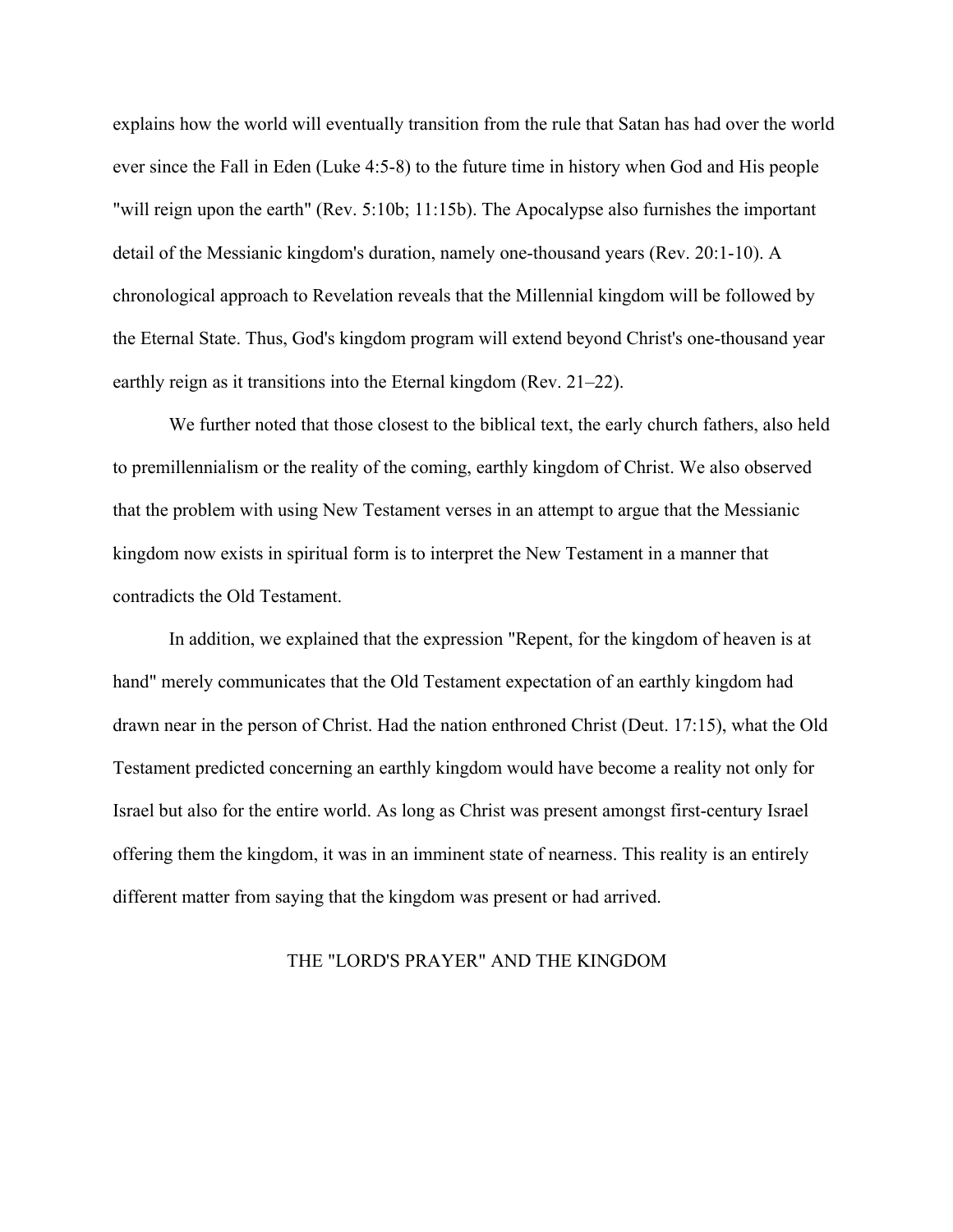explains how the world will eventually transition from the rule that Satan has had over the world ever since the Fall in Eden (Luke 4:5-8) to the future time in history when God and His people "will reign upon the earth" (Rev. 5:10b; 11:15b). The Apocalypse also furnishes the important detail of the Messianic kingdom's duration, namely one-thousand years (Rev. 20:1-10). A chronological approach to Revelation reveals that the Millennial kingdom will be followed by the Eternal State. Thus, God's kingdom program will extend beyond Christ's one-thousand year earthly reign as it transitions into the Eternal kingdom (Rev. 21–22).

We further noted that those closest to the biblical text, the early church fathers, also held to premillennialism or the reality of the coming, earthly kingdom of Christ. We also observed that the problem with using New Testament verses in an attempt to argue that the Messianic kingdom now exists in spiritual form is to interpret the New Testament in a manner that contradicts the Old Testament.

In addition, we explained that the expression "Repent, for the kingdom of heaven is at hand" merely communicates that the Old Testament expectation of an earthly kingdom had drawn near in the person of Christ. Had the nation enthroned Christ (Deut. 17:15), what the Old Testament predicted concerning an earthly kingdom would have become a reality not only for Israel but also for the entire world. As long as Christ was present amongst first-century Israel offering them the kingdom, it was in an imminent state of nearness. This reality is an entirely different matter from saying that the kingdom was present or had arrived.

## THE "LORD'S PRAYER" AND THE KINGDOM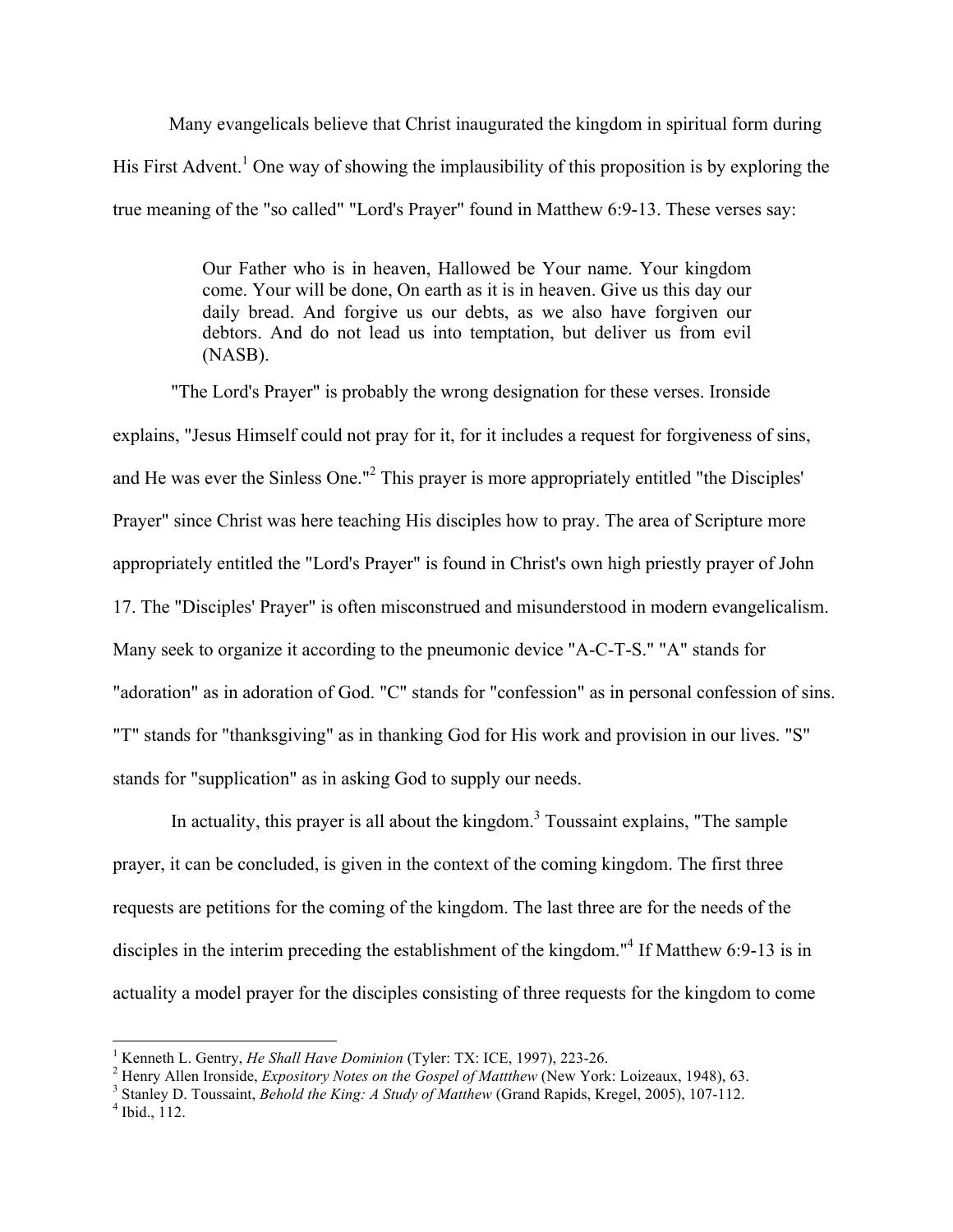Many evangelicals believe that Christ inaugurated the kingdom in spiritual form during His First Advent.<sup>1</sup> One way of showing the implausibility of this proposition is by exploring the true meaning of the "so called" "Lord's Prayer" found in Matthew 6:9-13. These verses say:

> Our Father who is in heaven, Hallowed be Your name. Your kingdom come. Your will be done, On earth as it is in heaven. Give us this day our daily bread. And forgive us our debts, as we also have forgiven our debtors. And do not lead us into temptation, but deliver us from evil (NASB).

"The Lord's Prayer" is probably the wrong designation for these verses. Ironside explains, "Jesus Himself could not pray for it, for it includes a request for forgiveness of sins, and He was ever the Sinless One."<sup>2</sup> This prayer is more appropriately entitled "the Disciples' Prayer" since Christ was here teaching His disciples how to pray. The area of Scripture more appropriately entitled the "Lord's Prayer" is found in Christ's own high priestly prayer of John 17. The "Disciples' Prayer" is often misconstrued and misunderstood in modern evangelicalism. Many seek to organize it according to the pneumonic device "A-C-T-S." "A" stands for "adoration" as in adoration of God. "C" stands for "confession" as in personal confession of sins. "T" stands for "thanksgiving" as in thanking God for His work and provision in our lives. "S" stands for "supplication" as in asking God to supply our needs.

In actuality, this prayer is all about the kingdom.<sup>3</sup> Toussaint explains, "The sample prayer, it can be concluded, is given in the context of the coming kingdom. The first three requests are petitions for the coming of the kingdom. The last three are for the needs of the disciples in the interim preceding the establishment of the kingdom."<sup>4</sup> If Matthew 6:9-13 is in actuality a model prayer for the disciples consisting of three requests for the kingdom to come

<sup>&</sup>lt;sup>1</sup> Kenneth L. Gentry, *He Shall Have Dominion* (Tyler: TX: ICE, 1997), 223-26.<br><sup>2</sup> Henry Allen Ironside, *Expository Notes on the Gospel of Mattthew* (New York: Loizeaux, 1948), 63.<br><sup>3</sup> Stanley D. Toussaint, *Behold the*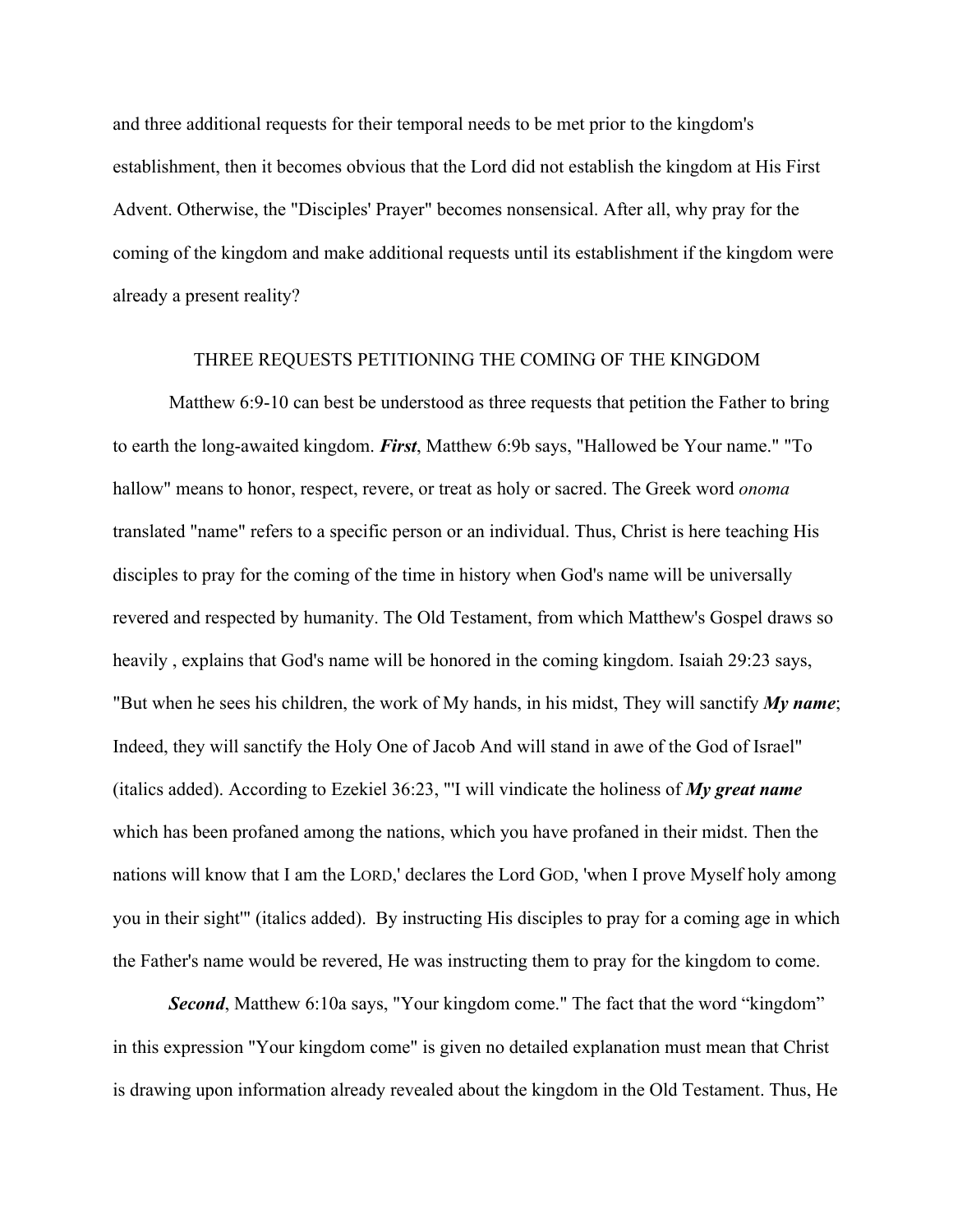and three additional requests for their temporal needs to be met prior to the kingdom's establishment, then it becomes obvious that the Lord did not establish the kingdom at His First Advent. Otherwise, the "Disciples' Prayer" becomes nonsensical. After all, why pray for the coming of the kingdom and make additional requests until its establishment if the kingdom were already a present reality?

## THREE REQUESTS PETITIONING THE COMING OF THE KINGDOM

Matthew 6:9-10 can best be understood as three requests that petition the Father to bring to earth the long-awaited kingdom. *First*, Matthew 6:9b says, "Hallowed be Your name." "To hallow" means to honor, respect, revere, or treat as holy or sacred. The Greek word *onoma* translated "name" refers to a specific person or an individual. Thus, Christ is here teaching His disciples to pray for the coming of the time in history when God's name will be universally revered and respected by humanity. The Old Testament, from which Matthew's Gospel draws so heavily , explains that God's name will be honored in the coming kingdom. Isaiah 29:23 says, "But when he sees his children, the work of My hands, in his midst, They will sanctify *My name*; Indeed, they will sanctify the Holy One of Jacob And will stand in awe of the God of Israel" (italics added). According to Ezekiel 36:23, "'I will vindicate the holiness of *My great name* which has been profaned among the nations, which you have profaned in their midst. Then the nations will know that I am the LORD,' declares the Lord GOD, 'when I prove Myself holy among you in their sight'" (italics added). By instructing His disciples to pray for a coming age in which the Father's name would be revered, He was instructing them to pray for the kingdom to come.

**Second**, Matthew 6:10a says, "Your kingdom come." The fact that the word "kingdom" in this expression "Your kingdom come" is given no detailed explanation must mean that Christ is drawing upon information already revealed about the kingdom in the Old Testament. Thus, He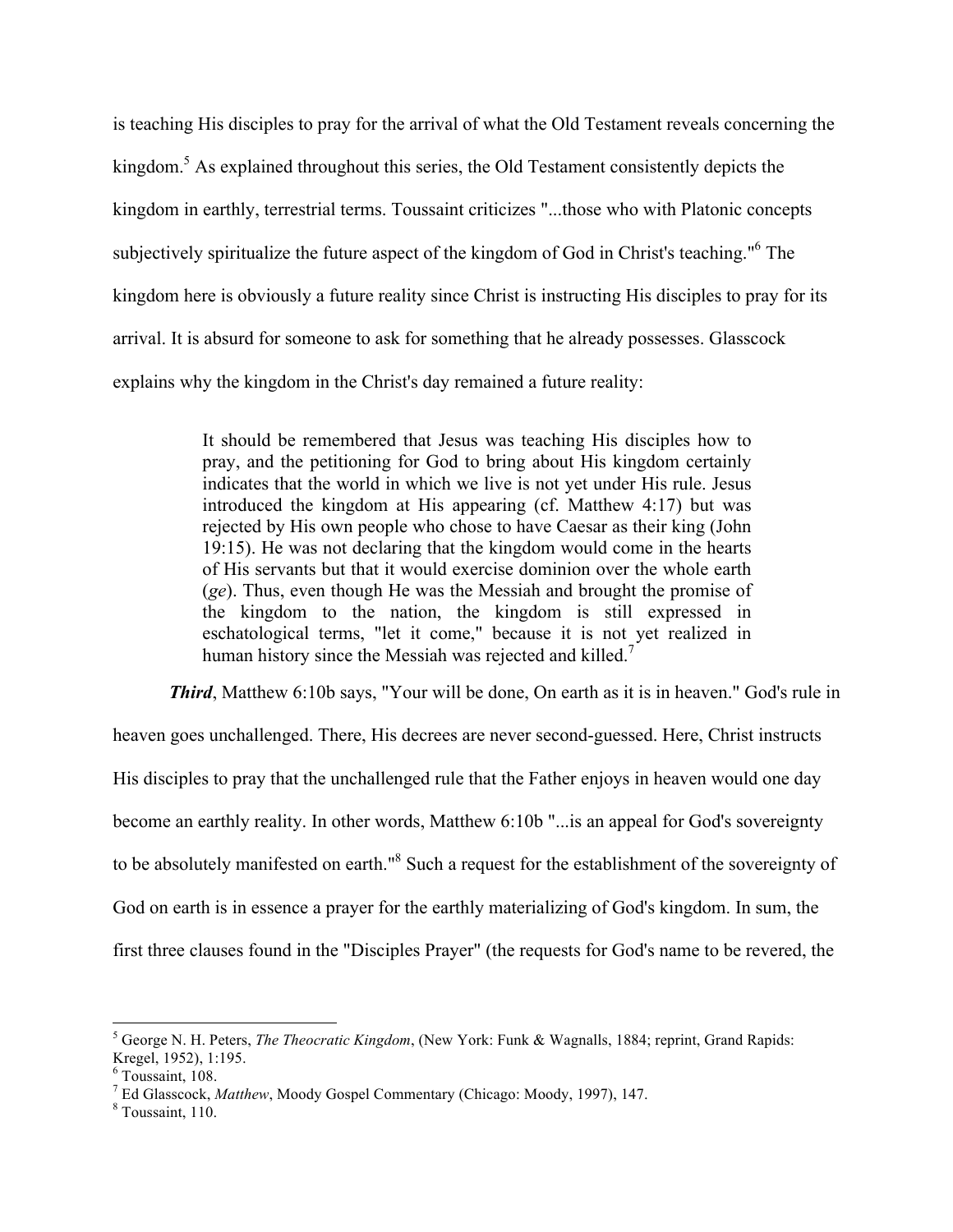is teaching His disciples to pray for the arrival of what the Old Testament reveals concerning the kingdom.<sup>5</sup> As explained throughout this series, the Old Testament consistently depicts the kingdom in earthly, terrestrial terms. Toussaint criticizes "...those who with Platonic concepts subjectively spiritualize the future aspect of the kingdom of God in Christ's teaching."<sup>6</sup> The kingdom here is obviously a future reality since Christ is instructing His disciples to pray for its arrival. It is absurd for someone to ask for something that he already possesses. Glasscock explains why the kingdom in the Christ's day remained a future reality:

> It should be remembered that Jesus was teaching His disciples how to pray, and the petitioning for God to bring about His kingdom certainly indicates that the world in which we live is not yet under His rule. Jesus introduced the kingdom at His appearing (cf. Matthew 4:17) but was rejected by His own people who chose to have Caesar as their king (John 19:15). He was not declaring that the kingdom would come in the hearts of His servants but that it would exercise dominion over the whole earth (*ge*). Thus, even though He was the Messiah and brought the promise of the kingdom to the nation, the kingdom is still expressed in eschatological terms, "let it come," because it is not yet realized in human history since the Messiah was rejected and killed.<sup>7</sup>

**Third**, Matthew 6:10b says, "Your will be done, On earth as it is in heaven." God's rule in heaven goes unchallenged. There, His decrees are never second-guessed. Here, Christ instructs His disciples to pray that the unchallenged rule that the Father enjoys in heaven would one day become an earthly reality. In other words, Matthew 6:10b "...is an appeal for God's sovereignty to be absolutely manifested on earth."8 Such a request for the establishment of the sovereignty of God on earth is in essence a prayer for the earthly materializing of God's kingdom. In sum, the first three clauses found in the "Disciples Prayer" (the requests for God's name to be revered, the

 <sup>5</sup> George N. H. Peters, *The Theocratic Kingdom*, (New York: Funk & Wagnalls, 1884; reprint, Grand Rapids: Kregel, 1952), 1:195.<br><sup>6</sup> Toussaint. 108.

<sup>&</sup>lt;sup>7</sup> Ed Glasscock, *Matthew*, Moody Gospel Commentary (Chicago: Moody, 1997), 147. <sup>8</sup> Toussaint, 110.